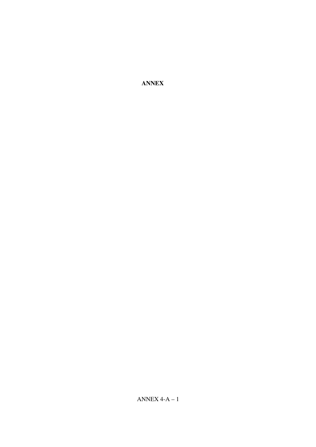**ANNEX**

ANNEX  $4-A-1$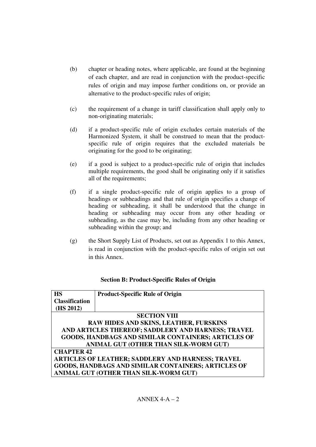- (b) chapter or heading notes, where applicable, are found at the beginning of each chapter, and are read in conjunction with the product-specific rules of origin and may impose further conditions on, or provide an alternative to the product-specific rules of origin;
- (c) the requirement of a change in tariff classification shall apply only to non-originating materials;
- (d) if a product-specific rule of origin excludes certain materials of the Harmonized System, it shall be construed to mean that the productspecific rule of origin requires that the excluded materials be originating for the good to be originating;
- (e) if a good is subject to a product-specific rule of origin that includes multiple requirements, the good shall be originating only if it satisfies all of the requirements;
- (f) if a single product-specific rule of origin applies to a group of headings or subheadings and that rule of origin specifies a change of heading or subheading, it shall be understood that the change in heading or subheading may occur from any other heading or subheading, as the case may be, including from any other heading or subheading within the group; and
- (g) the Short Supply List of Products, set out as Appendix 1 to this Annex, is read in conjunction with the product-specific rules of origin set out in this Annex.

#### **Section B: Product-Specific Rules of Origin**

| <b>HS</b>                                                | <b>Product-Specific Rule of Origin</b>              |  |
|----------------------------------------------------------|-----------------------------------------------------|--|
| <b>Classification</b>                                    |                                                     |  |
| (HS 2012)                                                |                                                     |  |
| <b>SECTION VIII</b>                                      |                                                     |  |
| RAW HIDES AND SKINS, LEATHER, FURSKINS                   |                                                     |  |
| AND ARTICLES THEREOF; SADDLERY AND HARNESS; TRAVEL       |                                                     |  |
| GOODS, HANDBAGS AND SIMILAR CONTAINERS; ARTICLES OF      |                                                     |  |
| ANIMAL GUT (OTHER THAN SILK-WORM GUT)                    |                                                     |  |
| <b>CHAPTER 42</b>                                        |                                                     |  |
| <b>ARTICLES OF LEATHER; SADDLERY AND HARNESS; TRAVEL</b> |                                                     |  |
|                                                          | GOODS, HANDBAGS AND SIMILAR CONTAINERS; ARTICLES OF |  |
|                                                          | ANIMAL GUT (OTHER THAN SILK-WORM GUT)               |  |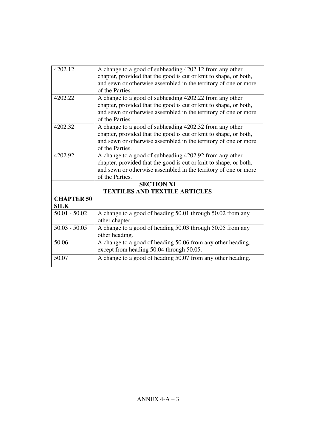| 4202.12           | A change to a good of subheading 4202.12 from any other           |
|-------------------|-------------------------------------------------------------------|
|                   | chapter, provided that the good is cut or knit to shape, or both, |
|                   | and sewn or otherwise assembled in the territory of one or more   |
|                   | of the Parties.                                                   |
| 4202.22           | A change to a good of subheading 4202.22 from any other           |
|                   | chapter, provided that the good is cut or knit to shape, or both, |
|                   | and sewn or otherwise assembled in the territory of one or more   |
|                   | of the Parties.                                                   |
| 4202.32           | A change to a good of subheading 4202.32 from any other           |
|                   | chapter, provided that the good is cut or knit to shape, or both, |
|                   | and sewn or otherwise assembled in the territory of one or more   |
|                   | of the Parties.                                                   |
| 4202.92           | A change to a good of subheading 4202.92 from any other           |
|                   | chapter, provided that the good is cut or knit to shape, or both, |
|                   | and sewn or otherwise assembled in the territory of one or more   |
|                   | of the Parties.                                                   |
|                   | <b>SECTION XI</b>                                                 |
|                   | <b>TEXTILES AND TEXTILE ARTICLES</b>                              |
| <b>CHAPTER 50</b> |                                                                   |
| <b>SILK</b>       |                                                                   |
| $50.01 - 50.02$   | A change to a good of heading 50.01 through 50.02 from any        |
|                   | other chapter.                                                    |
| $50.03 - 50.05$   | A change to a good of heading 50.03 through 50.05 from any        |
|                   | other heading.                                                    |
| 50.06             | A change to a good of heading 50.06 from any other heading,       |
|                   | except from heading 50.04 through 50.05.                          |
| 50.07             | A change to a good of heading 50.07 from any other heading.       |
|                   |                                                                   |
|                   |                                                                   |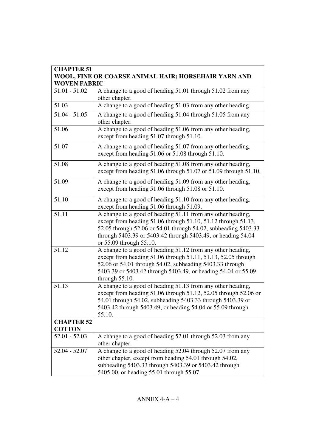| <b>CHAPTER 51</b><br>WOOL, FINE OR COARSE ANIMAL HAIR; HORSEHAIR YARN AND<br><b>WOVEN FABRIC</b> |                                                                                                                                                                                                                                                                                           |
|--------------------------------------------------------------------------------------------------|-------------------------------------------------------------------------------------------------------------------------------------------------------------------------------------------------------------------------------------------------------------------------------------------|
|                                                                                                  |                                                                                                                                                                                                                                                                                           |
| 51.03                                                                                            | A change to a good of heading 51.03 from any other heading.                                                                                                                                                                                                                               |
| $51.04 - 51.05$                                                                                  | A change to a good of heading 51.04 through 51.05 from any<br>other chapter.                                                                                                                                                                                                              |
| 51.06                                                                                            | A change to a good of heading 51.06 from any other heading,<br>except from heading 51.07 through 51.10.                                                                                                                                                                                   |
| 51.07                                                                                            | A change to a good of heading 51.07 from any other heading,<br>except from heading 51.06 or 51.08 through 51.10.                                                                                                                                                                          |
| 51.08                                                                                            | A change to a good of heading 51.08 from any other heading,<br>except from heading 51.06 through 51.07 or 51.09 through 51.10.                                                                                                                                                            |
| 51.09                                                                                            | A change to a good of heading 51.09 from any other heading,<br>except from heading 51.06 through 51.08 or 51.10.                                                                                                                                                                          |
| 51.10                                                                                            | A change to a good of heading 51.10 from any other heading,<br>except from heading 51.06 through 51.09.                                                                                                                                                                                   |
| 51.11                                                                                            | A change to a good of heading 51.11 from any other heading,<br>except from heading 51.06 through 51.10, 51.12 through 51.13,<br>52.05 through 52.06 or 54.01 through 54.02, subheading 5403.33<br>through 5403.39 or 5403.42 through 5403.49, or heading 54.04<br>or 55.09 through 55.10. |
| 51.12                                                                                            | A change to a good of heading 51.12 from any other heading,<br>except from heading 51.06 through 51.11, 51.13, 52.05 through<br>52.06 or 54.01 through 54.02, subheading 5403.33 through<br>5403.39 or 5403.42 through 5403.49, or heading 54.04 or 55.09<br>through $55.10$ .            |
| 51.13                                                                                            | A change to a good of heading 51.13 from any other heading,<br>except from heading 51.06 through 51.12, 52.05 through 52.06 or<br>54.01 through 54.02, subheading 5403.33 through 5403.39 or<br>5403.42 through 5403.49, or heading 54.04 or 55.09 through<br>55.10.                      |
| <b>CHAPTER 52</b><br><b>COTTON</b>                                                               |                                                                                                                                                                                                                                                                                           |
| $52.01 - 52.03$                                                                                  | A change to a good of heading 52.01 through 52.03 from any<br>other chapter.                                                                                                                                                                                                              |
| $52.04 - 52.07$                                                                                  | A change to a good of heading 52.04 through 52.07 from any<br>other chapter, except from heading 54.01 through 54.02,<br>subheading 5403.33 through 5403.39 or 5403.42 through<br>5405.00, or heading 55.01 through 55.07.                                                                |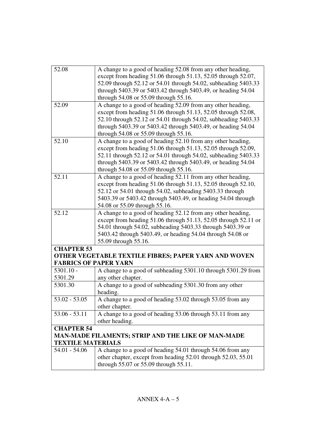| 52.08                        | A change to a good of heading 52.08 from any other heading,     |
|------------------------------|-----------------------------------------------------------------|
|                              | except from heading 51.06 through 51.13, 52.05 through 52.07,   |
|                              | 52.09 through 52.12 or 54.01 through 54.02, subheading 5403.33  |
|                              | through 5403.39 or 5403.42 through 5403.49, or heading 54.04    |
|                              | through 54.08 or 55.09 through 55.16.                           |
| 52.09                        | A change to a good of heading 52.09 from any other heading,     |
|                              | except from heading 51.06 through 51.13, 52.05 through 52.08,   |
|                              | 52.10 through 52.12 or 54.01 through 54.02, subheading 5403.33  |
|                              | through 5403.39 or 5403.42 through 5403.49, or heading 54.04    |
|                              | through 54.08 or 55.09 through 55.16.                           |
| 52.10                        | A change to a good of heading 52.10 from any other heading,     |
|                              | except from heading 51.06 through 51.13, 52.05 through 52.09,   |
|                              | 52.11 through 52.12 or 54.01 through 54.02, subheading 5403.33  |
|                              | through 5403.39 or 5403.42 through 5403.49, or heading 54.04    |
|                              | through 54.08 or 55.09 through 55.16.                           |
| 52.11                        | A change to a good of heading 52.11 from any other heading,     |
|                              | except from heading 51.06 through 51.13, 52.05 through 52.10,   |
|                              | 52.12 or 54.01 through 54.02, subheading 5403.33 through        |
|                              | 5403.39 or 5403.42 through 5403.49, or heading 54.04 through    |
|                              | 54.08 or 55.09 through 55.16.                                   |
| 52.12                        | A change to a good of heading 52.12 from any other heading,     |
|                              | except from heading 51.06 through 51.13, 52.05 through 52.11 or |
|                              | 54.01 through 54.02, subheading 5403.33 through 5403.39 or      |
|                              | 5403.42 through 5403.49, or heading 54.04 through 54.08 or      |
|                              | 55.09 through 55.16.                                            |
| <b>CHAPTER 53</b>            |                                                                 |
|                              | OTHER VEGETABLE TEXTILE FIBRES; PAPER YARN AND WOVEN            |
| <b>FABRICS OF PAPER YARN</b> |                                                                 |
| $5301.10 -$                  | A change to a good of subheading 5301.10 through 5301.29 from   |
| 5301.29                      | any other chapter.                                              |
| 5301.30                      | A change to a good of subheading 5301.30 from any other         |
|                              | heading.                                                        |
| $53.02 - 53.05$              | A change to a good of heading 53.02 through 53.05 from any      |
|                              | other chapter.                                                  |
| $53.06 - 53.11$              | A change to a good of heading 53.06 through 53.11 from any      |
|                              | other heading.                                                  |
| <b>CHAPTER 54</b>            |                                                                 |
|                              | MAN-MADE FILAMENTS; STRIP AND THE LIKE OF MAN-MADE              |
| <b>TEXTILE MATERIALS</b>     |                                                                 |
| $54.01 - 54.06$              | A change to a good of heading 54.01 through 54.06 from any      |
|                              | other chapter, except from heading 52.01 through 52.03, 55.01   |
|                              | through 55.07 or 55.09 through 55.11.                           |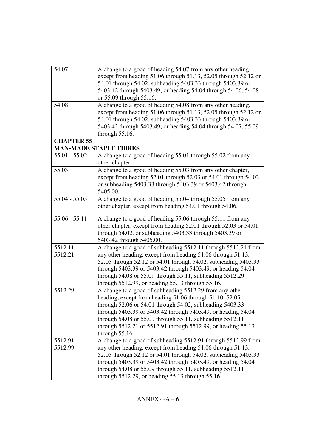| 54.07             | A change to a good of heading 54.07 from any other heading,<br>except from heading 51.06 through 51.13, 52.05 through 52.12 or<br>54.01 through 54.02, subheading 5403.33 through 5403.39 or<br>5403.42 through 5403.49, or heading 54.04 through 54.06, 54.08                                                                                                                                  |
|-------------------|-------------------------------------------------------------------------------------------------------------------------------------------------------------------------------------------------------------------------------------------------------------------------------------------------------------------------------------------------------------------------------------------------|
|                   | or 55.09 through 55.16.                                                                                                                                                                                                                                                                                                                                                                         |
| 54.08             | A change to a good of heading 54.08 from any other heading,<br>except from heading 51.06 through 51.13, 52.05 through 52.12 or<br>54.01 through 54.02, subheading 5403.33 through 5403.39 or<br>5403.42 through 5403.49, or heading 54.04 through 54.07, 55.09<br>through $55.16$ .                                                                                                             |
| <b>CHAPTER 55</b> |                                                                                                                                                                                                                                                                                                                                                                                                 |
|                   | <b>MAN-MADE STAPLE FIBRES</b>                                                                                                                                                                                                                                                                                                                                                                   |
| $55.01 - 55.02$   | A change to a good of heading 55.01 through 55.02 from any<br>other chapter.                                                                                                                                                                                                                                                                                                                    |
| 55.03             | A change to a good of heading 55.03 from any other chapter,<br>except from heading 52.01 through 52.03 or 54.01 through 54.02,<br>or subheading 5403.33 through 5403.39 or 5403.42 through<br>5405.00.                                                                                                                                                                                          |
| $55.04 - 55.05$   | A change to a good of heading 55.04 through 55.05 from any<br>other chapter, except from heading 54.01 through 54.06.                                                                                                                                                                                                                                                                           |
| $55.06 - 55.11$   | A change to a good of heading 55.06 through 55.11 from any<br>other chapter, except from heading 52.01 through 52.03 or 54.01<br>through $54.02$ , or subheading $5403.33$ through $5403.39$ or<br>5403.42 through 5405.00.                                                                                                                                                                     |
| $5512.11 -$       | A change to a good of subheading 5512.11 through 5512.21 from                                                                                                                                                                                                                                                                                                                                   |
| 5512.21           | any other heading, except from heading 51.06 through 51.13,<br>52.05 through 52.12 or 54.01 through 54.02, subheading 5403.33<br>through 5403.39 or 5403.42 through 5403.49, or heading 54.04<br>through 54.08 or 55.09 through 55.11, subheading 5512.29<br>through 5512.99, or heading 55.13 through 55.16.                                                                                   |
| 5512.29           | A change to a good of subheading 5512.29 from any other<br>heading, except from heading 51.06 through 51.10, 52.05<br>through 52.06 or 54.01 through 54.02, subheading 5403.33<br>through 5403.39 or 5403.42 through 5403.49, or heading 54.04<br>through 54.08 or 55.09 through 55.11, subheading 5512.11<br>through 5512.21 or 5512.91 through 5512.99, or heading 55.13<br>through $55.16$ . |
| 5512.91 -         | A change to a good of subheading 5512.91 through 5512.99 from                                                                                                                                                                                                                                                                                                                                   |
| 5512.99           | any other heading, except from heading 51.06 through 51.13,<br>52.05 through 52.12 or 54.01 through 54.02, subheading 5403.33<br>through 5403.39 or 5403.42 through 5403.49, or heading 54.04<br>through $54.08$ or $55.09$ through $55.11$ , subheading $5512.11$<br>through $5512.29$ , or heading $55.13$ through $55.16$ .                                                                  |
|                   |                                                                                                                                                                                                                                                                                                                                                                                                 |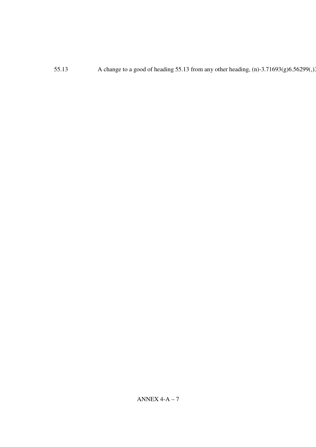55.13 A change to a good of heading 55.13 from any other heading, (n)-3.71693(g)6.56299(,) 55.13 A change to a good of heading 55.13 from any other heading, (n)-3.71693(g)6.56299(,). 55.13 A change to a good of heading 55.13 from any other heading, (n)-3.71693(g)6.56299(,). 55.13 A change to a good of heading 55.13 from any other heading, (n)-3.71693(g)6.56299(,).  $55.13$  A change to a good of heading 55.13 from any other heading, (n)-3.71693(g)6.56299(,)3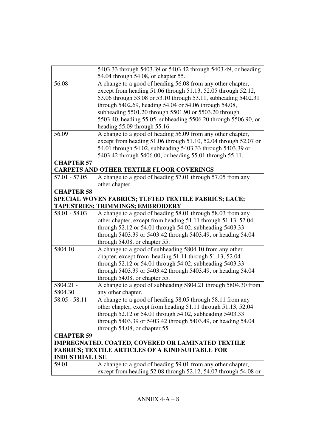|                       | 5403.33 through 5403.39 or 5403.42 through 5403.49, or heading  |
|-----------------------|-----------------------------------------------------------------|
|                       | 54.04 through 54.08, or chapter 55.                             |
| 56.08                 | A change to a good of heading 56.08 from any other chapter,     |
|                       | except from heading 51.06 through 51.13, 52.05 through 52.12,   |
|                       | 53.06 through 53.08 or 53.10 through 53.11, subheading 5402.31  |
|                       | through 5402.69, heading 54.04 or 54.06 through 54.08,          |
|                       | subheading 5501.20 through 5501.90 or 5503.20 through           |
|                       | 5503.40, heading 55.05, subheading 5506.20 through 5506.90, or  |
|                       | heading 55.09 through 55.16.                                    |
| 56.09                 | A change to a good of heading 56.09 from any other chapter,     |
|                       | except from heading 51.06 through 51.10, 52.04 through 52.07 or |
|                       | 54.01 through 54.02, subheading 5403.33 through 5403.39 or      |
|                       | 5403.42 through 5406.00, or heading 55.01 through 55.11.        |
| <b>CHAPTER 57</b>     |                                                                 |
|                       | <b>CARPETS AND OTHER TEXTILE FLOOR COVERINGS</b>                |
| $57.01 - 57.05$       | A change to a good of heading 57.01 through 57.05 from any      |
|                       | other chapter.                                                  |
| <b>CHAPTER 58</b>     |                                                                 |
|                       | SPECIAL WOVEN FABRICS; TUFTED TEXTILE FABRICS; LACE;            |
|                       | <b>TAPESTRIES; TRIMMINGS; EMBROIDERY</b>                        |
| $58.01 - 58.03$       | A change to a good of heading 58.01 through 58.03 from any      |
|                       | other chapter, except from heading 51.11 through 51.13, 52.04   |
|                       | through 52.12 or 54.01 through 54.02, subheading 5403.33        |
|                       | through 5403.39 or 5403.42 through 5403.49, or heading 54.04    |
|                       | through 54.08, or chapter 55.                                   |
| 5804.10               | A change to a good of subheading 5804.10 from any other         |
|                       | chapter, except from heading 51.11 through 51.13, 52.04         |
|                       | through 52.12 or 54.01 through 54.02, subheading 5403.33        |
|                       | through 5403.39 or 5403.42 through 5403.49, or heading 54.04    |
|                       | through 54.08, or chapter 55.                                   |
| 5804.21 -             | A change to a good of subheading 5804.21 through 5804.30 from   |
| 5804.30               | any other chapter.                                              |
| $58.05 - 58.11$       | A change to a good of heading 58.05 through 58.11 from any      |
|                       | other chapter, except from heading 51.11 through 51.13, 52.04   |
|                       | through 52.12 or 54.01 through 54.02, subheading 5403.33        |
|                       | through 5403.39 or 5403.42 through 5403.49, or heading 54.04    |
|                       | through 54.08, or chapter 55.                                   |
| <b>CHAPTER 59</b>     |                                                                 |
|                       | <b>IMPREGNATED, COATED, COVERED OR LAMINATED TEXTILE</b>        |
|                       | <b>FABRICS; TEXTILE ARTICLES OF A KIND SUITABLE FOR</b>         |
| <b>INDUSTRIAL USE</b> |                                                                 |
| 59.01                 | A change to a good of heading 59.01 from any other chapter,     |
|                       | except from heading 52.08 through 52.12, 54.07 through 54.08 or |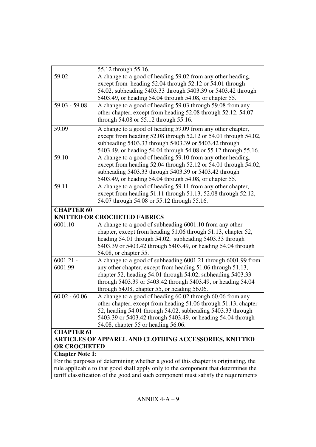|                                                                                                          | 55.12 through 55.16.                                                                                                                                                                                                                                                                                        |
|----------------------------------------------------------------------------------------------------------|-------------------------------------------------------------------------------------------------------------------------------------------------------------------------------------------------------------------------------------------------------------------------------------------------------------|
| 59.02                                                                                                    | A change to a good of heading 59.02 from any other heading,<br>except from heading 52.04 through 52.12 or 54.01 through<br>54.02, subheading 5403.33 through 5403.39 or 5403.42 through<br>5403.49, or heading 54.04 through 54.08, or chapter 55.                                                          |
| $59.03 - 59.08$                                                                                          | A change to a good of heading 59.03 through 59.08 from any<br>other chapter, except from heading 52.08 through 52.12, 54.07<br>through 54.08 or 55.12 through 55.16.                                                                                                                                        |
| 59.09                                                                                                    | A change to a good of heading 59.09 from any other chapter,<br>except from heading 52.08 through 52.12 or 54.01 through 54.02,<br>subheading 5403.33 through 5403.39 or 5403.42 through<br>5403.49, or heading 54.04 through 54.08 or 55.12 through 55.16.                                                  |
| 59.10                                                                                                    | A change to a good of heading 59.10 from any other heading,<br>except from heading 52.04 through 52.12 or 54.01 through 54.02,<br>subheading 5403.33 through 5403.39 or 5403.42 through<br>5403.49, or heading 54.04 through 54.08, or chapter 55.                                                          |
| 59.11                                                                                                    | A change to a good of heading 59.11 from any other chapter,<br>except from heading 51.11 through 51.13, 52.08 through 52.12,<br>54.07 through 54.08 or 55.12 through 55.16.                                                                                                                                 |
| <b>CHAPTER 60</b><br><b>KNITTED OR CROCHETED FABRICS</b>                                                 |                                                                                                                                                                                                                                                                                                             |
| 6001.10                                                                                                  | A change to a good of subheading 6001.10 from any other<br>chapter, except from heading 51.06 through 51.13, chapter 52,<br>heading 54.01 through 54.02, subheading 5403.33 through<br>5403.39 or 5403.42 through 5403.49, or heading 54.04 through<br>54.08, or chapter 55.                                |
| $6001.21 -$<br>6001.99                                                                                   | A change to a good of subheading 6001.21 through 6001.99 from<br>any other chapter, except from heading 51.06 through 51.13,<br>chapter 52, heading 54.01 through 54.02, subheading 5403.33<br>through 5403.39 or 5403.42 through 5403.49, or heading 54.04<br>through 54.08, chapter 55, or heading 56.06. |
| $60.02 - 60.06$                                                                                          | A change to a good of heading 60.02 through 60.06 from any<br>other chapter, except from heading 51.06 through 51.13, chapter<br>52, heading 54.01 through 54.02, subheading 5403.33 through<br>5403.39 or 5403.42 through 5403.49, or heading 54.04 through<br>54.08, chapter 55 or heading 56.06.         |
| <b>CHAPTER 61</b><br><b>ARTICLES OF APPAREL AND CLOTHING ACCESSORIES, KNITTED</b><br><b>OR CROCHETED</b> |                                                                                                                                                                                                                                                                                                             |
| <b>Chapter Note 1:</b>                                                                                   |                                                                                                                                                                                                                                                                                                             |
|                                                                                                          | For the purposes of determining whether a good of this chapter is originating, the<br>rule applicable to that good shall apply only to the component that determines the<br>tariff classification of the good and such component must satisfy the requirements                                              |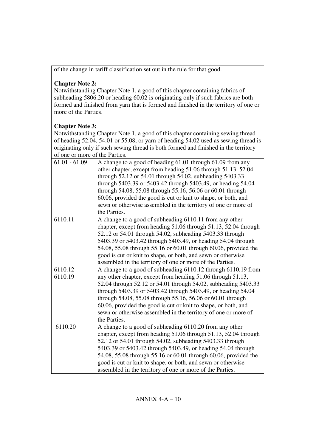of the change in tariff classification set out in the rule for that good.

# **Chapter Note 2:**

Notwithstanding Chapter Note 1, a good of this chapter containing fabrics of subheading 5806.20 or heading 60.02 is originating only if such fabrics are both formed and finished from yarn that is formed and finished in the territory of one or more of the Parties.

## **Chapter Note 3:**

Notwithstanding Chapter Note 1, a good of this chapter containing sewing thread of heading 52.04, 54.01 or 55.08, or yarn of heading 54.02 used as sewing thread is originating only if such sewing thread is both formed and finished in the territory of one or more of the Parties.

| $61.01 - 61.09$        | A change to a good of heading 61.01 through 61.09 from any<br>other chapter, except from heading 51.06 through 51.13, 52.04<br>through 52.12 or 54.01 through 54.02, subheading 5403.33<br>through 5403.39 or 5403.42 through 5403.49, or heading 54.04<br>through 54.08, 55.08 through 55.16, 56.06 or 60.01 through<br>60.06, provided the good is cut or knit to shape, or both, and                                                                                          |
|------------------------|----------------------------------------------------------------------------------------------------------------------------------------------------------------------------------------------------------------------------------------------------------------------------------------------------------------------------------------------------------------------------------------------------------------------------------------------------------------------------------|
|                        | sewn or otherwise assembled in the territory of one or more of<br>the Parties.                                                                                                                                                                                                                                                                                                                                                                                                   |
| 6110.11                | A change to a good of subheading 6110.11 from any other<br>chapter, except from heading 51.06 through 51.13, 52.04 through<br>52.12 or 54.01 through 54.02, subheading 5403.33 through<br>5403.39 or 5403.42 through 5403.49, or heading 54.04 through<br>54.08, 55.08 through 55.16 or 60.01 through 60.06, provided the<br>good is cut or knit to shape, or both, and sewn or otherwise<br>assembled in the territory of one or more of the Parties.                           |
| $6110.12 -$<br>6110.19 | A change to a good of subheading 6110.12 through 6110.19 from<br>any other chapter, except from heading 51.06 through 51.13,<br>52.04 through 52.12 or 54.01 through 54.02, subheading 5403.33<br>through 5403.39 or 5403.42 through 5403.49, or heading 54.04<br>through 54.08, 55.08 through 55.16, 56.06 or 60.01 through<br>60.06, provided the good is cut or knit to shape, or both, and<br>sewn or otherwise assembled in the territory of one or more of<br>the Parties. |
| 6110.20                | A change to a good of subheading 6110.20 from any other<br>chapter, except from heading 51.06 through 51.13, 52.04 through<br>52.12 or 54.01 through 54.02, subheading 5403.33 through<br>5403.39 or 5403.42 through 5403.49, or heading 54.04 through<br>54.08, 55.08 through 55.16 or 60.01 through 60.06, provided the<br>good is cut or knit to shape, or both, and sewn or otherwise<br>assembled in the territory of one or more of the Parties.                           |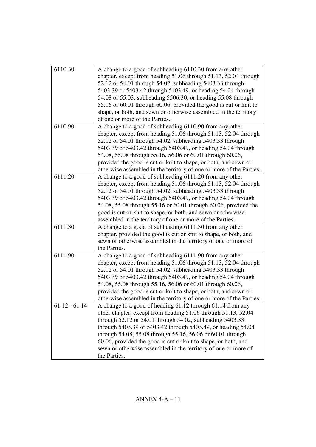| 6110.30         | A change to a good of subheading 6110.30 from any other<br>chapter, except from heading 51.06 through 51.13, 52.04 through<br>52.12 or 54.01 through 54.02, subheading 5403.33 through<br>5403.39 or 5403.42 through 5403.49, or heading 54.04 through<br>54.08 or 55.03, subheading 5506.30, or heading 55.08 through<br>55.16 or 60.01 through 60.06, provided the good is cut or knit to<br>shape, or both, and sewn or otherwise assembled in the territory<br>of one or more of the Parties. |
|-----------------|---------------------------------------------------------------------------------------------------------------------------------------------------------------------------------------------------------------------------------------------------------------------------------------------------------------------------------------------------------------------------------------------------------------------------------------------------------------------------------------------------|
| 6110.90         | A change to a good of subheading 6110.90 from any other<br>chapter, except from heading 51.06 through 51.13, 52.04 through<br>52.12 or 54.01 through 54.02, subheading 5403.33 through<br>5403.39 or 5403.42 through 5403.49, or heading 54.04 through<br>54.08, 55.08 through 55.16, 56.06 or 60.01 through 60.06,<br>provided the good is cut or knit to shape, or both, and sewn or<br>otherwise assembled in the territory of one or more of the Parties.                                     |
| 6111.20         | A change to a good of subheading 6111.20 from any other<br>chapter, except from heading 51.06 through 51.13, 52.04 through<br>52.12 or 54.01 through 54.02, subheading 5403.33 through<br>5403.39 or 5403.42 through 5403.49, or heading 54.04 through<br>54.08, 55.08 through 55.16 or 60.01 through 60.06, provided the<br>good is cut or knit to shape, or both, and sewn or otherwise<br>assembled in the territory of one or more of the Parties.                                            |
| 6111.30         | A change to a good of subheading 6111.30 from any other<br>chapter, provided the good is cut or knit to shape, or both, and<br>sewn or otherwise assembled in the territory of one or more of<br>the Parties.                                                                                                                                                                                                                                                                                     |
| 6111.90         | A change to a good of subheading 6111.90 from any other<br>chapter, except from heading 51.06 through 51.13, 52.04 through<br>52.12 or 54.01 through 54.02, subheading 5403.33 through<br>5403.39 or 5403.42 through 5403.49, or heading 54.04 through<br>54.08, 55.08 through 55.16, 56.06 or 60.01 through 60.06,<br>provided the good is cut or knit to shape, or both, and sewn or<br>otherwise assembled in the territory of one or more of the Parties.                                     |
| $61.12 - 61.14$ | A change to a good of heading 61.12 through 61.14 from any<br>other chapter, except from heading 51.06 through 51.13, 52.04<br>through 52.12 or 54.01 through 54.02, subheading 5403.33<br>through 5403.39 or 5403.42 through 5403.49, or heading 54.04<br>through 54.08, 55.08 through 55.16, 56.06 or 60.01 through<br>60.06, provided the good is cut or knit to shape, or both, and<br>sewn or otherwise assembled in the territory of one or more of<br>the Parties.                         |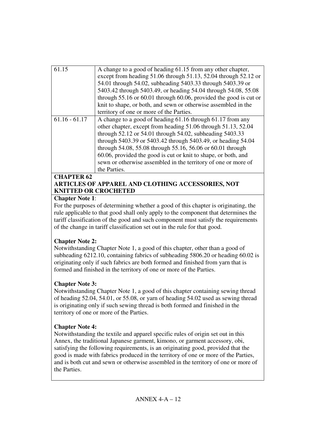| 61.15             | A change to a good of heading 61.15 from any other chapter,<br>except from heading 51.06 through 51.13, 52.04 through 52.12 or<br>54.01 through 54.02, subheading 5403.33 through 5403.39 or<br>5403.42 through 5403.49, or heading 54.04 through 54.08, 55.08 |
|-------------------|----------------------------------------------------------------------------------------------------------------------------------------------------------------------------------------------------------------------------------------------------------------|
|                   | through $55.16$ or $60.01$ through $60.06$ , provided the good is cut or                                                                                                                                                                                       |
|                   | knit to shape, or both, and sewn or otherwise assembled in the                                                                                                                                                                                                 |
|                   | territory of one or more of the Parties.                                                                                                                                                                                                                       |
| $61.16 - 61.17$   | A change to a good of heading 61.16 through 61.17 from any                                                                                                                                                                                                     |
|                   | other chapter, except from heading 51.06 through 51.13, 52.04                                                                                                                                                                                                  |
|                   | through 52.12 or 54.01 through 54.02, subheading 5403.33                                                                                                                                                                                                       |
|                   | through 5403.39 or 5403.42 through 5403.49, or heading 54.04                                                                                                                                                                                                   |
|                   | through 54.08, 55.08 through 55.16, 56.06 or 60.01 through                                                                                                                                                                                                     |
|                   | 60.06, provided the good is cut or knit to shape, or both, and                                                                                                                                                                                                 |
|                   | sewn or otherwise assembled in the territory of one or more of                                                                                                                                                                                                 |
|                   | the Parties.                                                                                                                                                                                                                                                   |
| <b>CHAPTER 62</b> |                                                                                                                                                                                                                                                                |

## **ARTICLES OF APPAREL AND CLOTHING ACCESSORIES, NOT KNITTED OR CROCHETED**

### **Chapter Note 1**:

For the purposes of determining whether a good of this chapter is originating, the rule applicable to that good shall only apply to the component that determines the tariff classification of the good and such component must satisfy the requirements of the change in tariff classification set out in the rule for that good.

## **Chapter Note 2:**

Notwithstanding Chapter Note 1, a good of this chapter, other than a good of subheading 6212.10, containing fabrics of subheading 5806.20 or heading 60.02 is originating only if such fabrics are both formed and finished from yarn that is formed and finished in the territory of one or more of the Parties.

## **Chapter Note 3:**

Notwithstanding Chapter Note 1, a good of this chapter containing sewing thread of heading 52.04, 54.01, or 55.08, or yarn of heading 54.02 used as sewing thread is originating only if such sewing thread is both formed and finished in the territory of one or more of the Parties.

## **Chapter Note 4:**

Notwithstanding the textile and apparel specific rules of origin set out in this Annex, the traditional Japanese garment, kimono, or garment accessory, obi, satisfying the following requirements, is an originating good, provided that the good is made with fabrics produced in the territory of one or more of the Parties, and is both cut and sewn or otherwise assembled in the territory of one or more of the Parties.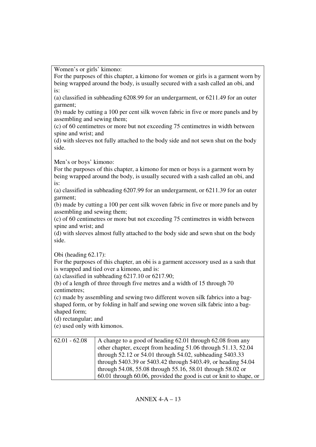Women's or girls' kimono:

For the purposes of this chapter, a kimono for women or girls is a garment worn by being wrapped around the body, is usually secured with a sash called an obi, and is:

(a) classified in subheading 6208.99 for an undergarment, or 6211.49 for an outer garment;

(b) made by cutting a 100 per cent silk woven fabric in five or more panels and by assembling and sewing them;

(c) of 60 centimetres or more but not exceeding 75 centimetres in width between spine and wrist; and

(d) with sleeves not fully attached to the body side and not sewn shut on the body side.

Men's or boys' kimono:

For the purposes of this chapter, a kimono for men or boys is a garment worn by being wrapped around the body, is usually secured with a sash called an obi, and is:

(a) classified in subheading 6207.99 for an undergarment, or 6211.39 for an outer garment;

(b) made by cutting a 100 per cent silk woven fabric in five or more panels and by assembling and sewing them;

(c) of 60 centimetres or more but not exceeding 75 centimetres in width between spine and wrist; and

(d) with sleeves almost fully attached to the body side and sewn shut on the body side.

Obi (heading 62.17):

For the purposes of this chapter, an obi is a garment accessory used as a sash that is wrapped and tied over a kimono, and is:

(a) classified in subheading 6217.10 or 6217.90;

(b) of a length of three through five metres and a width of 15 through 70 centimetres;

(c) made by assembling and sewing two different woven silk fabrics into a bagshaped form, or by folding in half and sewing one woven silk fabric into a bagshaped form;

(d) rectangular; and

(e) used only with kimonos.

| $62.01 - 62.08$ | A change to a good of heading 62.01 through 62.08 from any         |
|-----------------|--------------------------------------------------------------------|
|                 | other chapter, except from heading 51.06 through 51.13, 52.04      |
|                 | through 52.12 or 54.01 through 54.02, subheading 5403.33           |
|                 | through 5403.39 or 5403.42 through 5403.49, or heading 54.04       |
|                 | through 54.08, 55.08 through 55.16, 58.01 through 58.02 or         |
|                 | 60.01 through 60.06, provided the good is cut or knit to shape, or |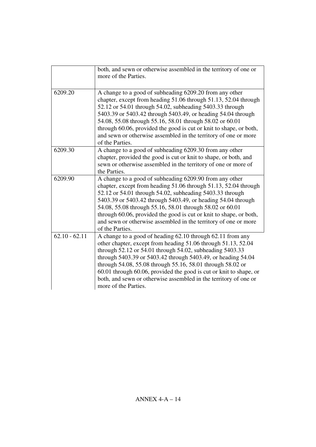|                 | both, and sewn or otherwise assembled in the territory of one or<br>more of the Parties.                                                                                                                                                                                                                                                                                                                                                                                                |
|-----------------|-----------------------------------------------------------------------------------------------------------------------------------------------------------------------------------------------------------------------------------------------------------------------------------------------------------------------------------------------------------------------------------------------------------------------------------------------------------------------------------------|
| 6209.20         | A change to a good of subheading 6209.20 from any other<br>chapter, except from heading 51.06 through 51.13, 52.04 through<br>52.12 or 54.01 through 54.02, subheading 5403.33 through<br>5403.39 or 5403.42 through 5403.49, or heading 54.04 through<br>54.08, 55.08 through 55.16, 58.01 through 58.02 or 60.01<br>through 60.06, provided the good is cut or knit to shape, or both,<br>and sewn or otherwise assembled in the territory of one or more<br>of the Parties.          |
| 6209.30         | A change to a good of subheading 6209.30 from any other<br>chapter, provided the good is cut or knit to shape, or both, and<br>sewn or otherwise assembled in the territory of one or more of<br>the Parties.                                                                                                                                                                                                                                                                           |
| 6209.90         | A change to a good of subheading 6209.90 from any other<br>chapter, except from heading 51.06 through 51.13, 52.04 through<br>52.12 or 54.01 through 54.02, subheading 5403.33 through<br>5403.39 or 5403.42 through 5403.49, or heading 54.04 through<br>54.08, 55.08 through 55.16, 58.01 through 58.02 or 60.01<br>through 60.06, provided the good is cut or knit to shape, or both,<br>and sewn or otherwise assembled in the territory of one or more<br>of the Parties.          |
| $62.10 - 62.11$ | A change to a good of heading 62.10 through 62.11 from any<br>other chapter, except from heading 51.06 through 51.13, 52.04<br>through 52.12 or 54.01 through 54.02, subheading 5403.33<br>through 5403.39 or 5403.42 through 5403.49, or heading 54.04<br>through 54.08, 55.08 through 55.16, 58.01 through 58.02 or<br>60.01 through 60.06, provided the good is cut or knit to shape, or<br>both, and sewn or otherwise assembled in the territory of one or<br>more of the Parties. |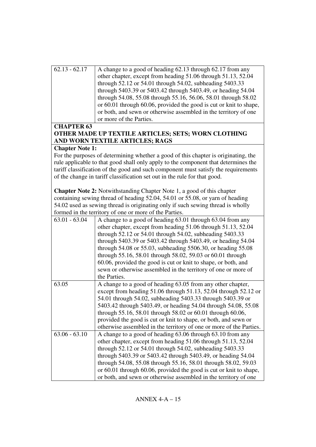| $62.13 - 62.17$        | A change to a good of heading 62.13 through 62.17 from any                         |
|------------------------|------------------------------------------------------------------------------------|
|                        | other chapter, except from heading 51.06 through 51.13, 52.04                      |
|                        | through 52.12 or 54.01 through 54.02, subheading 5403.33                           |
|                        | through 5403.39 or 5403.42 through 5403.49, or heading 54.04                       |
|                        | through 54.08, 55.08 through 55.16, 56.06, 58.01 through 58.02                     |
|                        | or 60.01 through 60.06, provided the good is cut or knit to shape,                 |
|                        | or both, and sewn or otherwise assembled in the territory of one                   |
|                        | or more of the Parties.                                                            |
| <b>CHAPTER 63</b>      |                                                                                    |
|                        | OTHER MADE UP TEXTILE ARTICLES; SETS; WORN CLOTHING                                |
|                        | AND WORN TEXTILE ARTICLES; RAGS                                                    |
| <b>Chapter Note 1:</b> |                                                                                    |
|                        | For the purposes of determining whether a good of this chapter is originating, the |
|                        | rule applicable to that good shall only apply to the component that determines the |
|                        | tariff classification of the good and such component must satisfy the requirements |
|                        | of the change in tariff classification set out in the rule for that good.          |
|                        |                                                                                    |
|                        | <b>Chapter Note 2:</b> Notwithstanding Chapter Note 1, a good of this chapter      |
|                        | containing sewing thread of heading 52.04, 54.01 or 55.08, or yarn of heading      |
|                        | 54.02 used as sewing thread is originating only if such sewing thread is wholly    |
|                        | formed in the territory of one or more of the Parties.                             |
| $63.01 - 63.04$        | A change to a good of heading 63.01 through 63.04 from any                         |
|                        | other chapter, except from heading 51.06 through 51.13, 52.04                      |
|                        | through 52.12 or 54.01 through 54.02, subheading 5403.33                           |
|                        | through 5403.39 or 5403.42 through 5403.49, or heading 54.04                       |
|                        | through 54.08 or 55.03, subheading 5506.30, or heading 55.08                       |
|                        |                                                                                    |
|                        | through 55.16, 58.01 through 58.02, 59.03 or 60.01 through                         |
|                        | 60.06, provided the good is cut or knit to shape, or both, and                     |
|                        | sewn or otherwise assembled in the territory of one or more of                     |
|                        | the Parties.                                                                       |
| 63.05                  | A change to a good of heading 63.05 from any other chapter,                        |
|                        | except from heading 51.06 through 51.13, 52.04 through 52.12 or                    |
|                        | 54.01 through 54.02, subheading 5403.33 through 5403.39 or                         |
|                        | 5403.42 through 5403.49, or heading 54.04 through 54.08, 55.08                     |
|                        | through 55.16, 58.01 through 58.02 or 60.01 through 60.06,                         |
|                        | provided the good is cut or knit to shape, or both, and sewn or                    |
|                        | otherwise assembled in the territory of one or more of the Parties.                |
| $63.06 - 63.10$        | A change to a good of heading 63.06 through 63.10 from any                         |
|                        | other chapter, except from heading 51.06 through 51.13, 52.04                      |
|                        | through 52.12 or 54.01 through 54.02, subheading 5403.33                           |
|                        | through 5403.39 or 5403.42 through 5403.49, or heading 54.04                       |
|                        | through 54.08, 55.08 through 55.16, 58.01 through 58.02, 59.03                     |
|                        | or 60.01 through 60.06, provided the good is cut or knit to shape,                 |
|                        | or both, and sewn or otherwise assembled in the territory of one                   |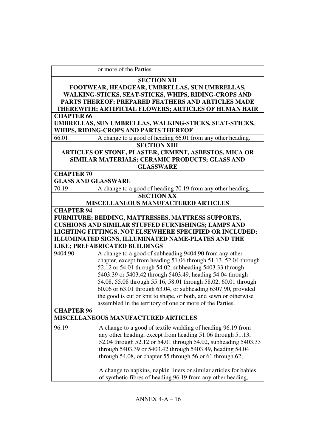|                                                      | or more of the Parties.                                               |  |
|------------------------------------------------------|-----------------------------------------------------------------------|--|
|                                                      |                                                                       |  |
|                                                      | <b>SECTION XII</b>                                                    |  |
| FOOTWEAR, HEADGEAR, UMBRELLAS, SUN UMBRELLAS,        |                                                                       |  |
| WALKING-STICKS, SEAT-STICKS, WHIPS, RIDING-CROPS AND |                                                                       |  |
| PARTS THEREOF; PREPARED FEATHERS AND ARTICLES MADE   |                                                                       |  |
|                                                      | THEREWITH; ARTIFICIAL FLOWERS; ARTICLES OF HUMAN HAIR                 |  |
| <b>CHAPTER 66</b>                                    |                                                                       |  |
|                                                      | UMBRELLAS, SUN UMBRELLAS, WALKING-STICKS, SEAT-STICKS,                |  |
|                                                      | WHIPS, RIDING-CROPS AND PARTS THEREOF                                 |  |
| 66.01                                                | A change to a good of heading 66.01 from any other heading.           |  |
|                                                      | <b>SECTION XIII</b>                                                   |  |
|                                                      | ARTICLES OF STONE, PLASTER, CEMENT, ASBESTOS, MICA OR                 |  |
|                                                      | SIMILAR MATERIALS; CERAMIC PRODUCTS; GLASS AND                        |  |
|                                                      | <b>GLASSWARE</b>                                                      |  |
| <b>CHAPTER 70</b>                                    |                                                                       |  |
| <b>GLASS AND GLASSWARE</b>                           |                                                                       |  |
| 70.19                                                | A change to a good of heading 70.19 from any other heading.           |  |
|                                                      | <b>SECTION XX</b>                                                     |  |
|                                                      | <b>MISCELLANEOUS MANUFACTURED ARTICLES</b>                            |  |
| <b>CHAPTER 94</b>                                    |                                                                       |  |
|                                                      | FURNITURE; BEDDING, MATTRESSES, MATTRESS SUPPORTS,                    |  |
|                                                      | CUSHIONS AND SIMILAR STUFFED FURNISHINGS; LAMPS AND                   |  |
|                                                      | LIGHTING FITTINGS, NOT ELSEWHERE SPECIFIED OR INCLUDED;               |  |
|                                                      | ILLUMINATED SIGNS, ILLUMINATED NAME-PLATES AND THE                    |  |
| LIKE; PREFABRICATED BUILDINGS                        |                                                                       |  |
| 9404.90                                              | A change to a good of subheading 9404.90 from any other               |  |
|                                                      | chapter, except from heading 51.06 through 51.13, 52.04 through       |  |
|                                                      | 52.12 or 54.01 through 54.02, subheading 5403.33 through              |  |
|                                                      | 5403.39 or 5403.42 through 5403.49, heading 54.04 through             |  |
|                                                      | 54.08, 55.08 through 55.16, 58.01 through 58.02, 60.01 through        |  |
|                                                      | 60.06 or 63.01 through 63.04, or subheading 6307.90, provided         |  |
|                                                      | the good is cut or knit to shape, or both, and sewn or otherwise      |  |
|                                                      | assembled in the territory of one or more of the Parties.             |  |
| <b>CHAPTER 96</b>                                    |                                                                       |  |
| <b>MISCELLANEOUS MANUFACTURED ARTICLES</b>           |                                                                       |  |
| 96.19                                                | A change to a good of textile wadding of heading 96.19 from           |  |
|                                                      | any other heading, except from heading 51.06 through 51.13,           |  |
|                                                      | 52.04 through 52.12 or 54.01 through 54.02, subheading 5403.33        |  |
|                                                      | through 5403.39 or 5403.42 through 5403.49, heading 54.04             |  |
|                                                      | through $54.08$ , or chapter $55$ through $56$ or $61$ through $62$ ; |  |
|                                                      |                                                                       |  |
|                                                      | A change to napkins, napkin liners or similar articles for babies     |  |
|                                                      | of synthetic fibres of heading 96.19 from any other heading,          |  |